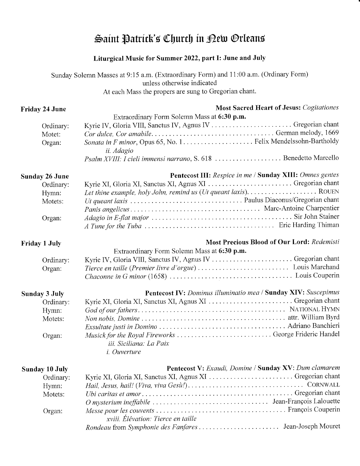## Saint Patrick's Church in Dew Orleans

## Liturgical Music for Summer 2022, part I: June and July

Sunday Solemn Masses at 9:15 a.m. (Extraordinary Form) and 11:00 a.m. (Ordinary Form) unless otherwise indicated At each Mass the propers are sung to Gregorian chant.

| <b>Friday 24 June</b>         | <b>Most Sacred Heart of Jesus: Cogitationes</b>                                                                           |
|-------------------------------|---------------------------------------------------------------------------------------------------------------------------|
| Ordinary:<br>Motet:<br>Organ: | Extraordinary Form Solemn Mass at 6:30 p.m.<br>Kyrie IV, Gloria VIII, Sanctus IV, Agnus IV  Gregorian chant<br>ii. Adagio |
|                               | Psalm XVIII: I cieli immensi narrano, S. 618  Benedetto Marcello                                                          |
| <b>Sunday 26 June</b>         | Pentecost III: Respice in me / Sunday XIII: Omnes gentes                                                                  |
| Ordinary:                     | Kyrie XI, Gloria XI, Sanctus XI, Agnus XI  Gregorian chant                                                                |
| Hymn:                         |                                                                                                                           |
| Motets:                       |                                                                                                                           |
|                               |                                                                                                                           |
| Organ:                        |                                                                                                                           |
| <b>Friday 1 July</b>          | <b>Most Precious Blood of Our Lord: Redemisti</b>                                                                         |
|                               | Extraordinary Form Solemn Mass at 6:30 p.m.                                                                               |
| Ordinary:                     | Kyrie IV, Gloria VIII, Sanctus IV, Agnus IV  Gregorian chant                                                              |
| Organ:                        |                                                                                                                           |
| <b>Sunday 3 July</b>          | Pentecost IV: Dominus illuminatio mea / Sunday XIV: Suscepimus                                                            |
| Ordinary:                     | Kyrie XI, Gloria XI, Sanctus XI, Agnus XI  Gregorian chant                                                                |
| Hymn:                         |                                                                                                                           |
| Motets:                       |                                                                                                                           |
|                               |                                                                                                                           |
| Organ:                        | Musick for the Royal Fireworks  George Frideric Handel<br>iii. Siciliana: La Paix<br><i>i.</i> Ouverture                  |
|                               |                                                                                                                           |
| Sunday 10 July                | Pentecost V: Exaudi, Domine / Sunday XV: Dum clamarem<br>Kyrie XI, Gloria XI, Sanctus XI, Agnus XI  Gregorian chant       |
| Ordinary:                     |                                                                                                                           |
| Hymn:                         |                                                                                                                           |
| Motets:                       |                                                                                                                           |
| Organ:                        |                                                                                                                           |
|                               | xviii. Élévation: Tierce en taille                                                                                        |
|                               |                                                                                                                           |